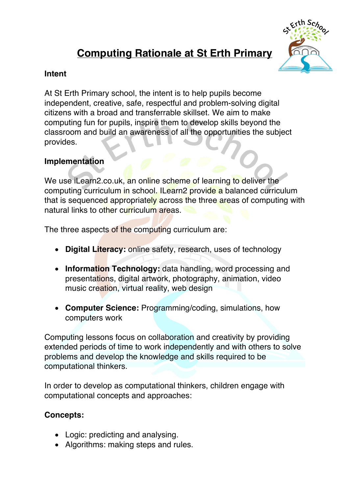# **Computing Rationale at St Erth Primary**



## **Intent**

At St Erth Primary school, the intent is to help pupils become independent, creative, safe, respectful and problem-solving digital citizens with a broad and transferrable skillset. We aim to make computing fun for pupils, inspire them to develop skills beyond the classroom and build an awareness of all the opportunities the subject provides.

We use iLearn2.co.uk, an online scheme of learning to deliver the computing curriculum in school. ILearn2 provide a balanced curriculum that is sequenced appropriately across the three areas of computing with natural links to other curriculum areas.

The three aspects of the computing curriculum are:

# **Implementation**

- **Digital Literacy:** online safety, research, uses of technology
- **Information Technology:** data handling, word processing and presentations, digital artwork, photography, animation, video music creation, virtual reality, web design
- **Computer Science:** Programming/coding, simulations, how computers work

Computing lessons focus on collaboration and creativity by providing extended periods of time to work independently and with others to solve problems and develop the knowledge and skills required to be computational thinkers.

In order to develop as computational thinkers, children engage with computational concepts and approaches:

**Concepts:**

- Logic: predicting and analysing.
- Algorithms: making steps and rules.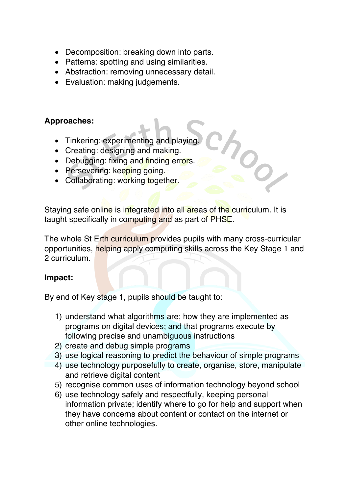- Decomposition: breaking down into parts.
- Patterns: spotting and using similarities.
- Abstraction: removing unnecessary detail.
- Evaluation: making judgements.

- Tinkering: experimenting and playing.
- Creating: designing and making.
- Debugging: fixing and finding errors.
- Persevering: keeping going.
- Collaborating: working together.

## **Approaches:**

Staying safe online is integrated into all areas of the curriculum. It is taught specifically in computing and as part of PHSE.

The whole St Erth curriculum provides pupils with many cross-curricular opportunities, helping apply computing skills across the Key Stage 1 and 2 curriculum.

#### **Impact:**

By end of Key stage 1, pupils should be taught to:

- 1) understand what algorithms are; how they are implemented as programs on digital devices; and that programs execute by following precise and unambiguous instructions
- 2) create and debug simple programs
- 3) use logical reasoning to predict the behaviour of simple programs
- 4) use technology purposefully to create, organise, store, manipulate
- - and retrieve digital content
- 5) recognise common uses of information technology beyond school
- 6) use technology safely and respectfully, keeping personal information private; identify where to go for help and support when they have concerns about content or contact on the internet or other online technologies.